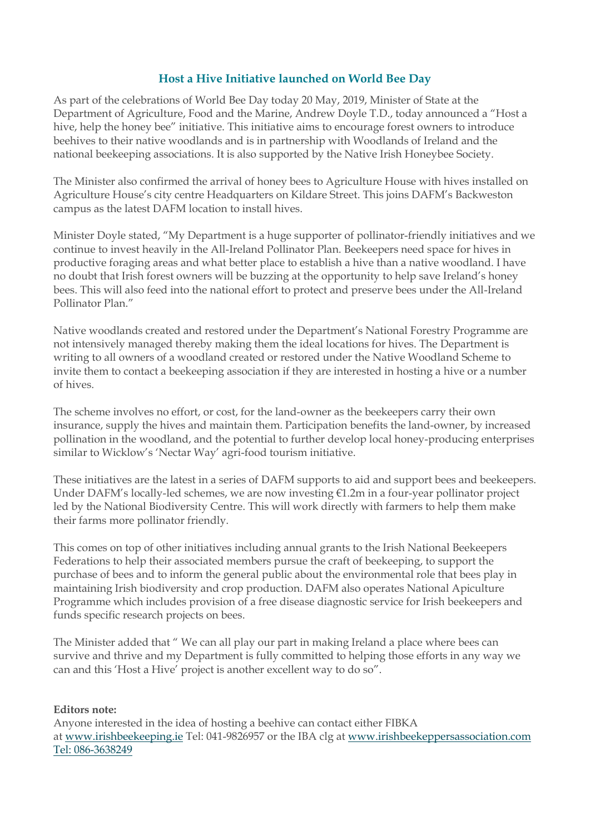## **Host a Hive Initiative launched on World Bee Day**

As part of the celebrations of World Bee Day today 20 May, 2019, Minister of State at the Department of Agriculture, Food and the Marine, Andrew Doyle T.D., today announced a "Host a hive, help the honey bee" initiative. This initiative aims to encourage forest owners to introduce beehives to their native woodlands and is in partnership with Woodlands of Ireland and the national beekeeping associations. It is also supported by the Native Irish Honeybee Society.

The Minister also confirmed the arrival of honey bees to Agriculture House with hives installed on Agriculture House's city centre Headquarters on Kildare Street. This joins DAFM's Backweston campus as the latest DAFM location to install hives.

Minister Doyle stated, "My Department is a huge supporter of pollinator-friendly initiatives and we continue to invest heavily in the All-Ireland Pollinator Plan. Beekeepers need space for hives in productive foraging areas and what better place to establish a hive than a native woodland. I have no doubt that Irish forest owners will be buzzing at the opportunity to help save Ireland's honey bees. This will also feed into the national effort to protect and preserve bees under the All-Ireland Pollinator Plan."

Native woodlands created and restored under the Department's National Forestry Programme are not intensively managed thereby making them the ideal locations for hives. The Department is writing to all owners of a woodland created or restored under the Native Woodland Scheme to invite them to contact a beekeeping association if they are interested in hosting a hive or a number of hives.

The scheme involves no effort, or cost, for the land-owner as the beekeepers carry their own insurance, supply the hives and maintain them. Participation benefits the land-owner, by increased pollination in the woodland, and the potential to further develop local honey-producing enterprises similar to Wicklow's 'Nectar Way' agri-food tourism initiative.

These initiatives are the latest in a series of DAFM supports to aid and support bees and beekeepers. Under DAFM's locally-led schemes, we are now investing €1.2m in a four-year pollinator project led by the National Biodiversity Centre. This will work directly with farmers to help them make their farms more pollinator friendly.

This comes on top of other initiatives including annual grants to the Irish National Beekeepers Federations to help their associated members pursue the craft of beekeeping, to support the purchase of bees and to inform the general public about the environmental role that bees play in maintaining Irish biodiversity and crop production. DAFM also operates National Apiculture Programme which includes provision of a free disease diagnostic service for Irish beekeepers and funds specific research projects on bees.

The Minister added that " We can all play our part in making Ireland a place where bees can survive and thrive and my Department is fully committed to helping those efforts in any way we can and this 'Host a Hive' project is another excellent way to do so".

## **Editors note:**

Anyone interested in the idea of hosting a beehive can contact either FIBKA at [www.irishbeekeeping.ie](http://www.irishbeekeeping.ie/) Tel: 041-9826957 or the IBA clg at [www.irishbeekeppersassociation.com](http://www.irishbeekeppersassociation.com/) Tel: 086-3638249